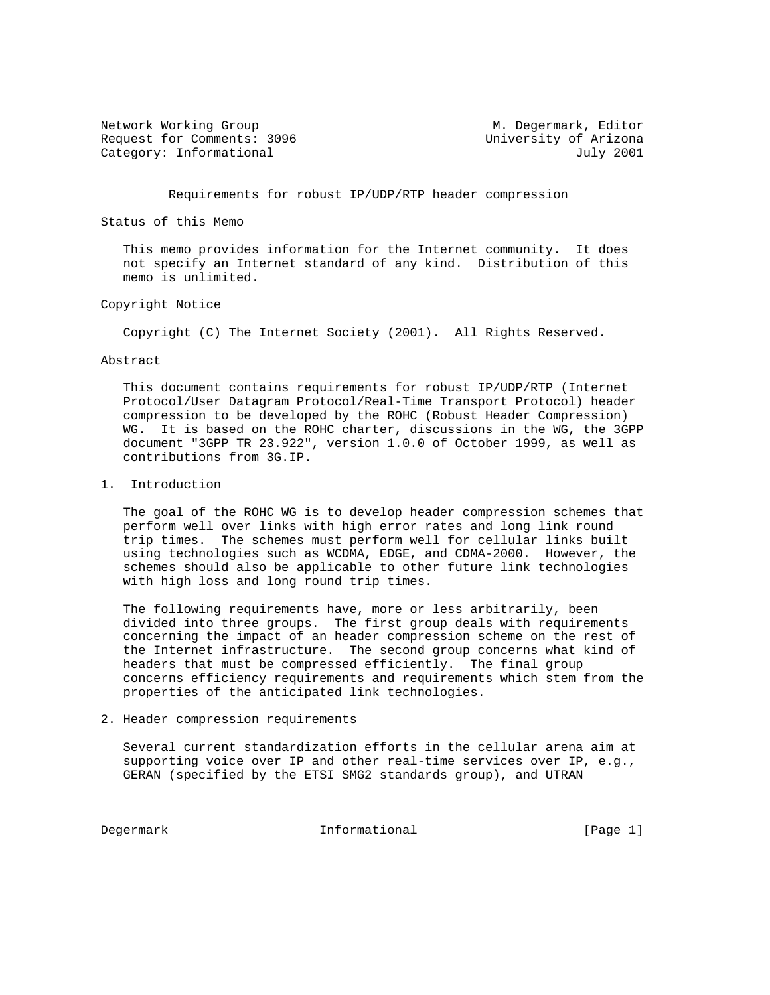Network Working Group M. Degermark, Editor Request for Comments: 3096 University of Arizona Category: Informational and July 2001

Requirements for robust IP/UDP/RTP header compression

Status of this Memo

 This memo provides information for the Internet community. It does not specify an Internet standard of any kind. Distribution of this memo is unlimited.

## Copyright Notice

Copyright (C) The Internet Society (2001). All Rights Reserved.

#### Abstract

 This document contains requirements for robust IP/UDP/RTP (Internet Protocol/User Datagram Protocol/Real-Time Transport Protocol) header compression to be developed by the ROHC (Robust Header Compression) WG. It is based on the ROHC charter, discussions in the WG, the 3GPP document "3GPP TR 23.922", version 1.0.0 of October 1999, as well as contributions from 3G.IP.

### 1. Introduction

 The goal of the ROHC WG is to develop header compression schemes that perform well over links with high error rates and long link round trip times. The schemes must perform well for cellular links built using technologies such as WCDMA, EDGE, and CDMA-2000. However, the schemes should also be applicable to other future link technologies with high loss and long round trip times.

 The following requirements have, more or less arbitrarily, been divided into three groups. The first group deals with requirements concerning the impact of an header compression scheme on the rest of the Internet infrastructure. The second group concerns what kind of headers that must be compressed efficiently. The final group concerns efficiency requirements and requirements which stem from the properties of the anticipated link technologies.

2. Header compression requirements

 Several current standardization efforts in the cellular arena aim at supporting voice over IP and other real-time services over IP, e.g., GERAN (specified by the ETSI SMG2 standards group), and UTRAN

Degermark 1nformational [Page 1]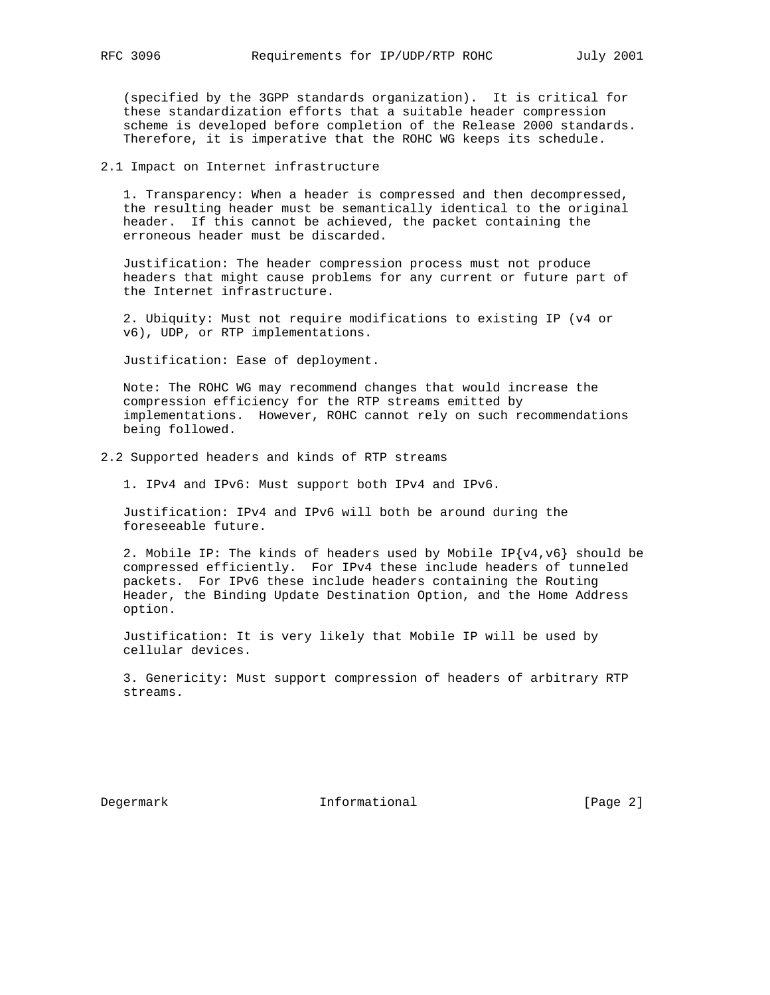(specified by the 3GPP standards organization). It is critical for these standardization efforts that a suitable header compression scheme is developed before completion of the Release 2000 standards. Therefore, it is imperative that the ROHC WG keeps its schedule.

2.1 Impact on Internet infrastructure

 1. Transparency: When a header is compressed and then decompressed, the resulting header must be semantically identical to the original header. If this cannot be achieved, the packet containing the erroneous header must be discarded.

 Justification: The header compression process must not produce headers that might cause problems for any current or future part of the Internet infrastructure.

 2. Ubiquity: Must not require modifications to existing IP (v4 or v6), UDP, or RTP implementations.

Justification: Ease of deployment.

 Note: The ROHC WG may recommend changes that would increase the compression efficiency for the RTP streams emitted by implementations. However, ROHC cannot rely on such recommendations being followed.

2.2 Supported headers and kinds of RTP streams

1. IPv4 and IPv6: Must support both IPv4 and IPv6.

 Justification: IPv4 and IPv6 will both be around during the foreseeable future.

2. Mobile IP: The kinds of headers used by Mobile IP{v4,v6} should be compressed efficiently. For IPv4 these include headers of tunneled packets. For IPv6 these include headers containing the Routing Header, the Binding Update Destination Option, and the Home Address option.

 Justification: It is very likely that Mobile IP will be used by cellular devices.

 3. Genericity: Must support compression of headers of arbitrary RTP streams.

Degermark Informational [Page 2]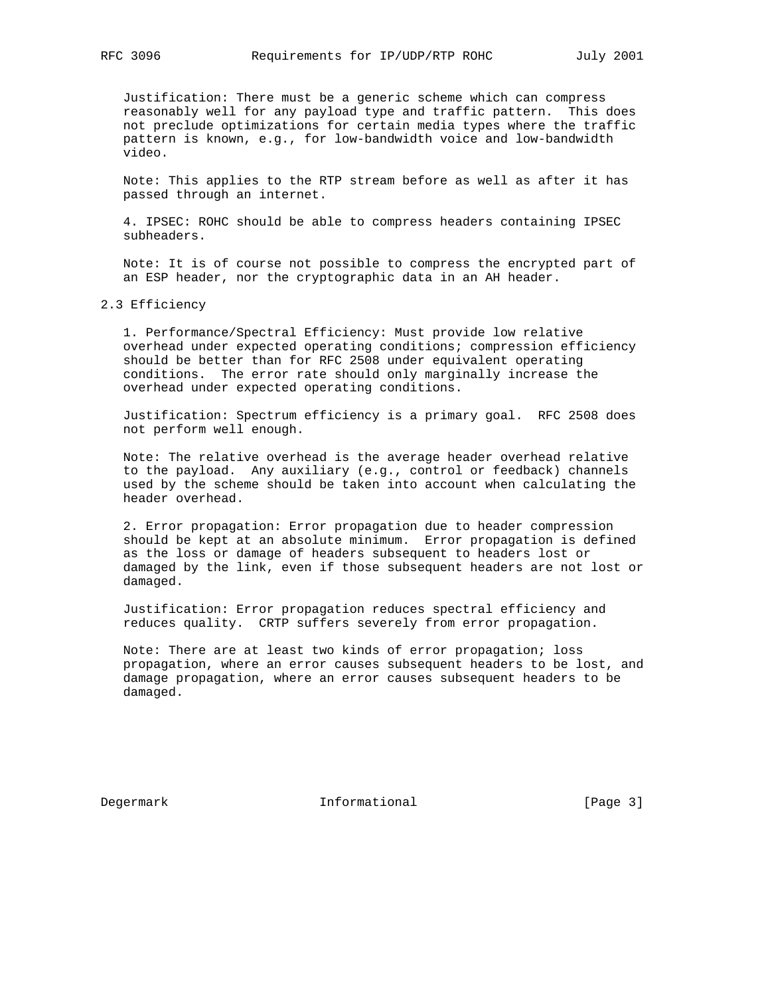Justification: There must be a generic scheme which can compress reasonably well for any payload type and traffic pattern. This does not preclude optimizations for certain media types where the traffic pattern is known, e.g., for low-bandwidth voice and low-bandwidth video.

 Note: This applies to the RTP stream before as well as after it has passed through an internet.

 4. IPSEC: ROHC should be able to compress headers containing IPSEC subheaders.

 Note: It is of course not possible to compress the encrypted part of an ESP header, nor the cryptographic data in an AH header.

#### 2.3 Efficiency

 1. Performance/Spectral Efficiency: Must provide low relative overhead under expected operating conditions; compression efficiency should be better than for RFC 2508 under equivalent operating conditions. The error rate should only marginally increase the overhead under expected operating conditions.

 Justification: Spectrum efficiency is a primary goal. RFC 2508 does not perform well enough.

 Note: The relative overhead is the average header overhead relative to the payload. Any auxiliary (e.g., control or feedback) channels used by the scheme should be taken into account when calculating the header overhead.

 2. Error propagation: Error propagation due to header compression should be kept at an absolute minimum. Error propagation is defined as the loss or damage of headers subsequent to headers lost or damaged by the link, even if those subsequent headers are not lost or damaged.

 Justification: Error propagation reduces spectral efficiency and reduces quality. CRTP suffers severely from error propagation.

 Note: There are at least two kinds of error propagation; loss propagation, where an error causes subsequent headers to be lost, and damage propagation, where an error causes subsequent headers to be damaged.

Degermark 1nformational [Page 3]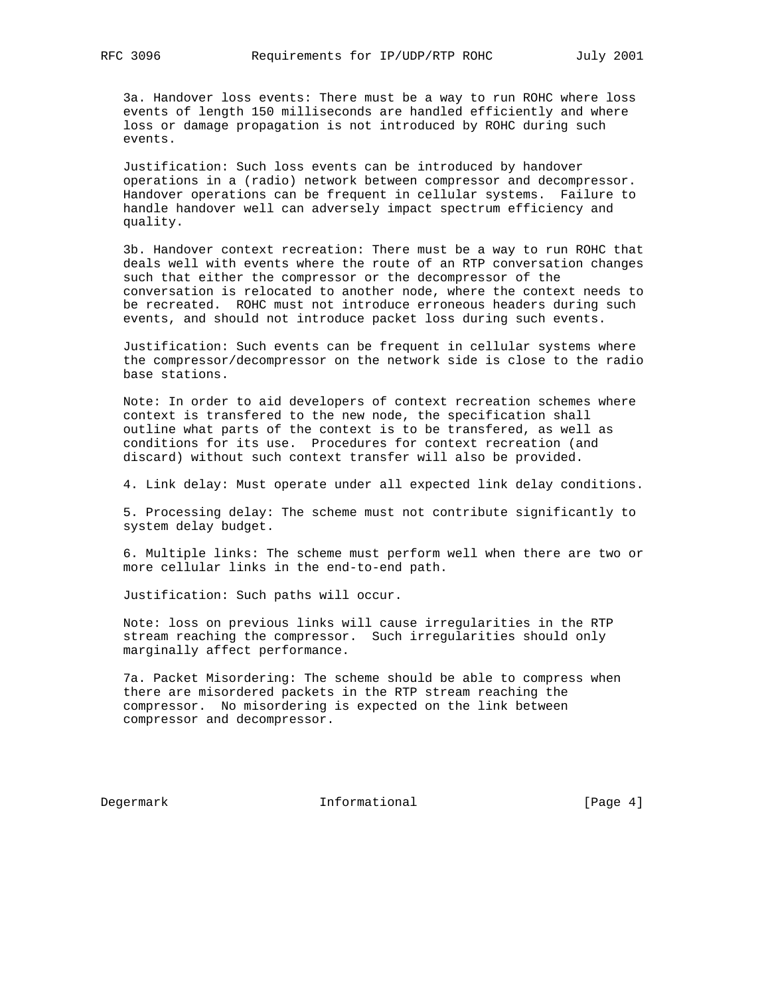3a. Handover loss events: There must be a way to run ROHC where loss events of length 150 milliseconds are handled efficiently and where loss or damage propagation is not introduced by ROHC during such events.

 Justification: Such loss events can be introduced by handover operations in a (radio) network between compressor and decompressor. Handover operations can be frequent in cellular systems. Failure to handle handover well can adversely impact spectrum efficiency and quality.

 3b. Handover context recreation: There must be a way to run ROHC that deals well with events where the route of an RTP conversation changes such that either the compressor or the decompressor of the conversation is relocated to another node, where the context needs to be recreated. ROHC must not introduce erroneous headers during such events, and should not introduce packet loss during such events.

 Justification: Such events can be frequent in cellular systems where the compressor/decompressor on the network side is close to the radio base stations.

 Note: In order to aid developers of context recreation schemes where context is transfered to the new node, the specification shall outline what parts of the context is to be transfered, as well as conditions for its use. Procedures for context recreation (and discard) without such context transfer will also be provided.

4. Link delay: Must operate under all expected link delay conditions.

 5. Processing delay: The scheme must not contribute significantly to system delay budget.

 6. Multiple links: The scheme must perform well when there are two or more cellular links in the end-to-end path.

Justification: Such paths will occur.

 Note: loss on previous links will cause irregularities in the RTP stream reaching the compressor. Such irregularities should only marginally affect performance.

 7a. Packet Misordering: The scheme should be able to compress when there are misordered packets in the RTP stream reaching the compressor. No misordering is expected on the link between compressor and decompressor.

Degermark 1nformational 1992 [Page 4]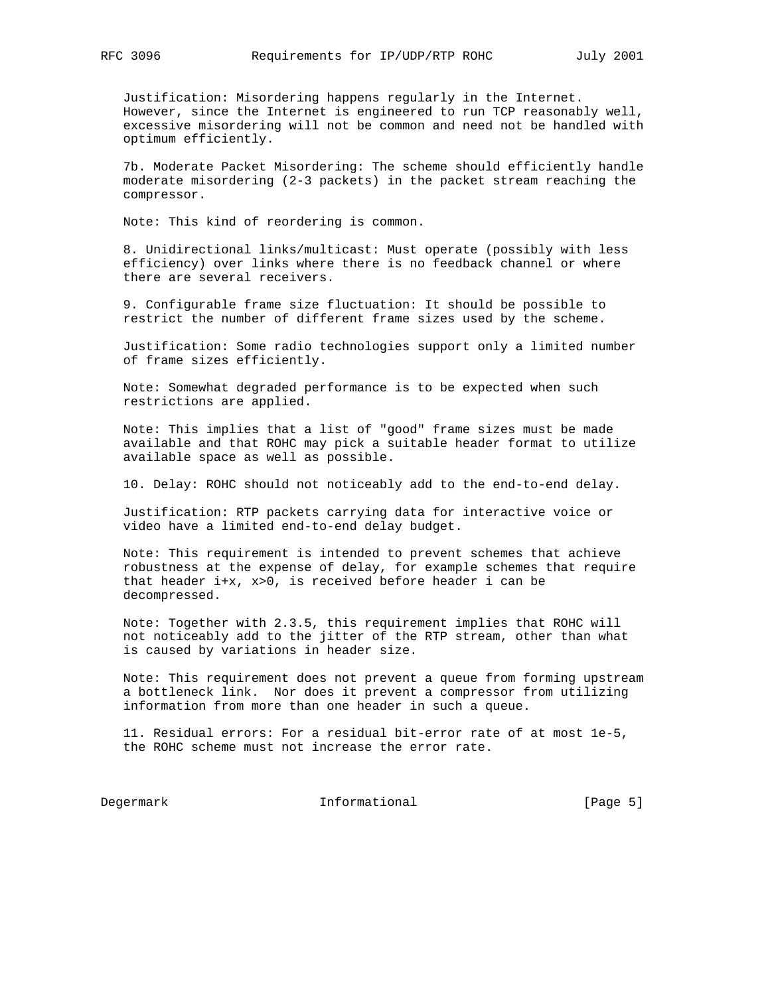Justification: Misordering happens regularly in the Internet. However, since the Internet is engineered to run TCP reasonably well, excessive misordering will not be common and need not be handled with optimum efficiently.

 7b. Moderate Packet Misordering: The scheme should efficiently handle moderate misordering (2-3 packets) in the packet stream reaching the compressor.

Note: This kind of reordering is common.

 8. Unidirectional links/multicast: Must operate (possibly with less efficiency) over links where there is no feedback channel or where there are several receivers.

 9. Configurable frame size fluctuation: It should be possible to restrict the number of different frame sizes used by the scheme.

 Justification: Some radio technologies support only a limited number of frame sizes efficiently.

 Note: Somewhat degraded performance is to be expected when such restrictions are applied.

 Note: This implies that a list of "good" frame sizes must be made available and that ROHC may pick a suitable header format to utilize available space as well as possible.

10. Delay: ROHC should not noticeably add to the end-to-end delay.

 Justification: RTP packets carrying data for interactive voice or video have a limited end-to-end delay budget.

 Note: This requirement is intended to prevent schemes that achieve robustness at the expense of delay, for example schemes that require that header i+x, x>0, is received before header i can be decompressed.

 Note: Together with 2.3.5, this requirement implies that ROHC will not noticeably add to the jitter of the RTP stream, other than what is caused by variations in header size.

 Note: This requirement does not prevent a queue from forming upstream a bottleneck link. Nor does it prevent a compressor from utilizing information from more than one header in such a queue.

 11. Residual errors: For a residual bit-error rate of at most 1e-5, the ROHC scheme must not increase the error rate.

Degermark Informational [Page 5]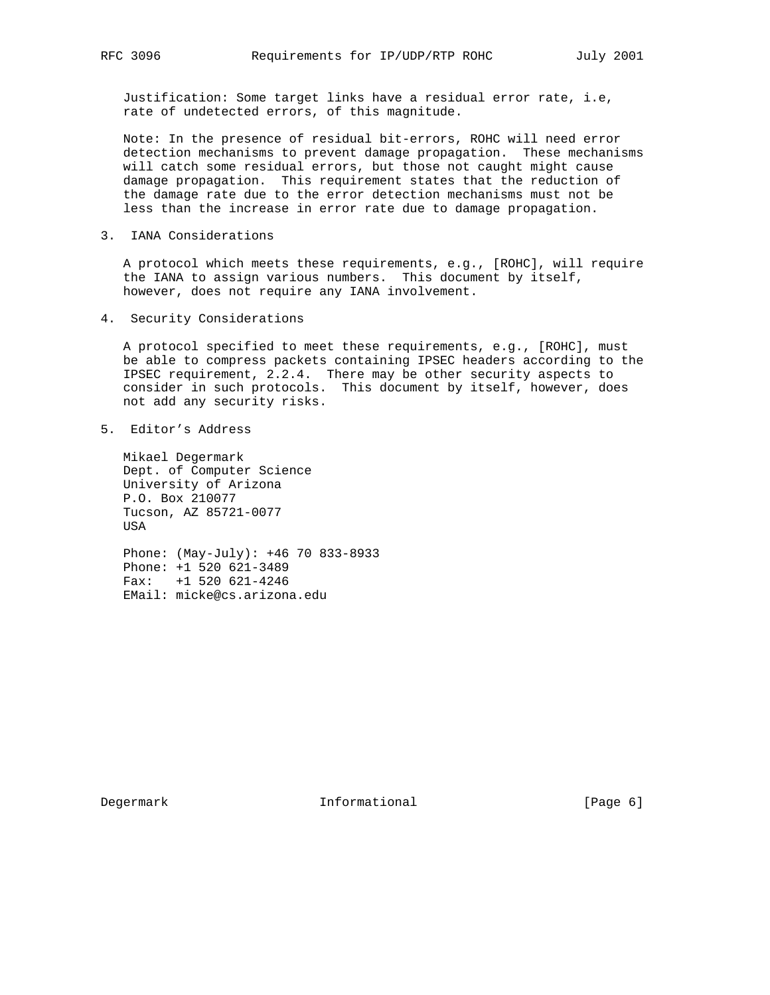Justification: Some target links have a residual error rate, i.e, rate of undetected errors, of this magnitude.

 Note: In the presence of residual bit-errors, ROHC will need error detection mechanisms to prevent damage propagation. These mechanisms will catch some residual errors, but those not caught might cause damage propagation. This requirement states that the reduction of the damage rate due to the error detection mechanisms must not be less than the increase in error rate due to damage propagation.

3. IANA Considerations

 A protocol which meets these requirements, e.g., [ROHC], will require the IANA to assign various numbers. This document by itself, however, does not require any IANA involvement.

4. Security Considerations

 A protocol specified to meet these requirements, e.g., [ROHC], must be able to compress packets containing IPSEC headers according to the IPSEC requirement, 2.2.4. There may be other security aspects to consider in such protocols. This document by itself, however, does not add any security risks.

5. Editor's Address

 Mikael Degermark Dept. of Computer Science University of Arizona P.O. Box 210077 Tucson, AZ 85721-0077 USA

 Phone: (May-July): +46 70 833-8933 Phone: +1 520 621-3489 Fax: +1 520 621-4246 EMail: micke@cs.arizona.edu

Degermark 1nformational [Page 6]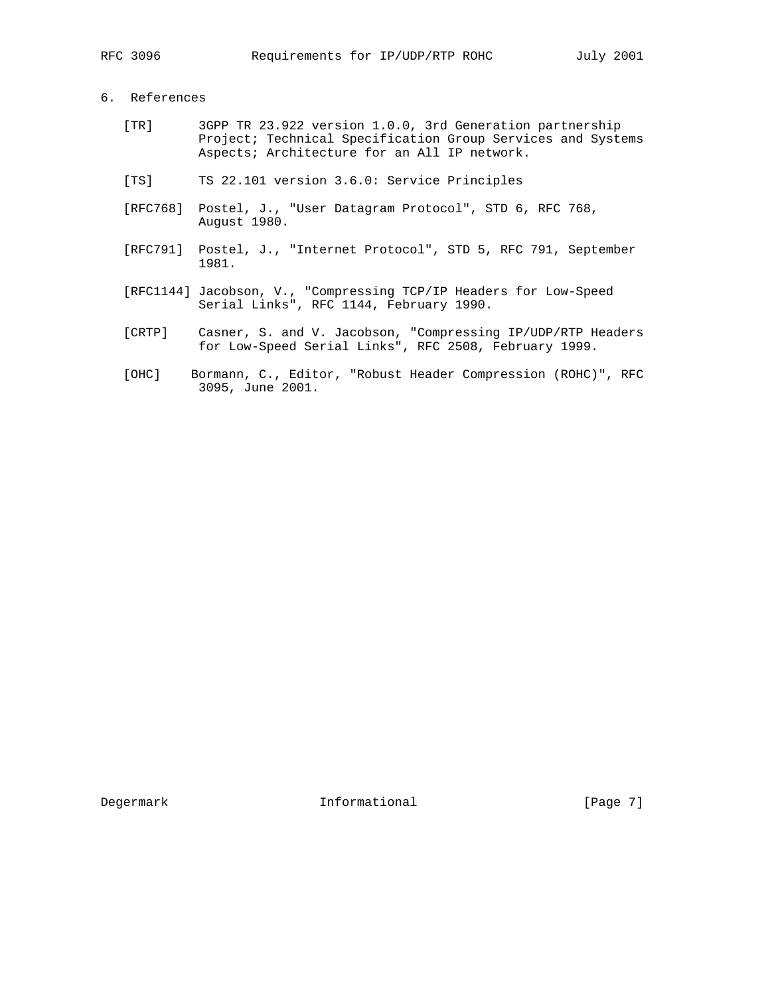# 6. References

- [TR] 3GPP TR 23.922 version 1.0.0, 3rd Generation partnership Project; Technical Specification Group Services and Systems Aspects; Architecture for an All IP network.
- [TS] TS 22.101 version 3.6.0: Service Principles
- [RFC768] Postel, J., "User Datagram Protocol", STD 6, RFC 768, August 1980.
- [RFC791] Postel, J., "Internet Protocol", STD 5, RFC 791, September 1981.
- [RFC1144] Jacobson, V., "Compressing TCP/IP Headers for Low-Speed Serial Links", RFC 1144, February 1990.
	- [CRTP] Casner, S. and V. Jacobson, "Compressing IP/UDP/RTP Headers for Low-Speed Serial Links", RFC 2508, February 1999.
	- [OHC] Bormann, C., Editor, "Robust Header Compression (ROHC)", RFC 3095, June 2001.

Degermark 1nformational [Page 7]